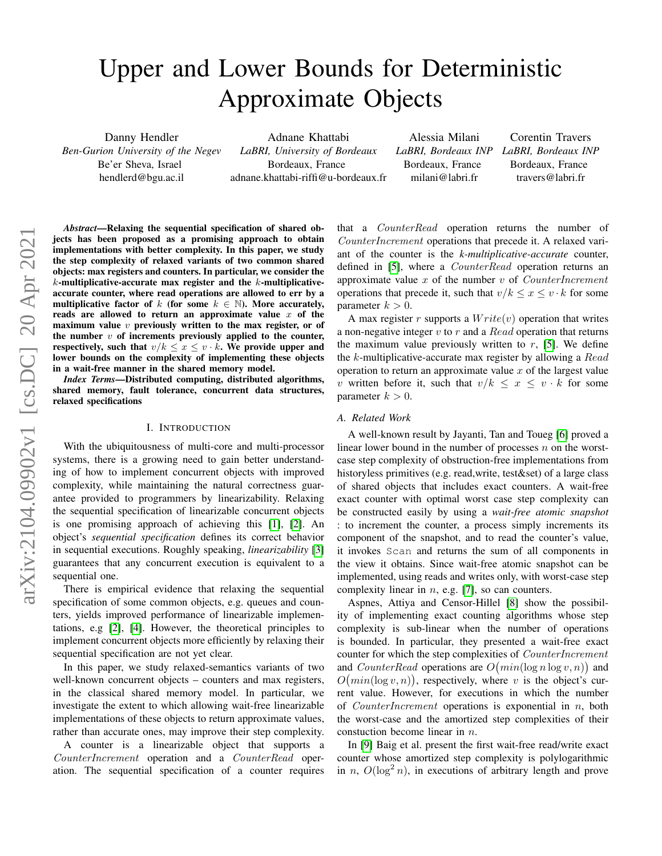# Upper and Lower Bounds for Deterministic Approximate Objects

Danny Hendler *Ben-Gurion University of the Negev* Be'er Sheva, Israel hendlerd@bgu.ac.il

Adnane Khattabi *LaBRI, University of Bordeaux* Bordeaux, France adnane.khattabi-riffi@u-bordeaux.fr

Alessia Milani *LaBRI, Bordeaux INP LaBRI, Bordeaux INP* Bordeaux, France milani@labri.fr

Corentin Travers Bordeaux, France travers@labri.fr

#### *Abstract*—Relaxing the sequential specification of shared objects has been proposed as a promising approach to obtain implementations with better complexity. In this paper, we study the step complexity of relaxed variants of two common shared objects: max registers and counters. In particular, we consider the  $k$ -multiplicative-accurate max register and the  $k$ -multiplicativeaccurate counter, where read operations are allowed to err by a multiplicative factor of k (for some  $k \in \mathbb{N}$ ). More accurately, reads are allowed to return an approximate value  $x$  of the maximum value  $v$  previously written to the max register, or of the number  $v$  of increments previously applied to the counter, respectively, such that  $v/k \leq x \leq v \cdot k$ . We provide upper and lower bounds on the complexity of implementing these objects in a wait-free manner in the shared memory model.

*Index Terms*—Distributed computing, distributed algorithms, shared memory, fault tolerance, concurrent data structures, relaxed specifications

# I. INTRODUCTION

With the ubiquitousness of multi-core and multi-processor systems, there is a growing need to gain better understanding of how to implement concurrent objects with improved complexity, while maintaining the natural correctness guarantee provided to programmers by linearizability. Relaxing the sequential specification of linearizable concurrent objects is one promising approach of achieving this [\[1\]](#page-11-0), [\[2\]](#page-11-1). An object's *sequential specification* defines its correct behavior in sequential executions. Roughly speaking, *linearizability* [\[3\]](#page-11-2) guarantees that any concurrent execution is equivalent to a sequential one.

There is empirical evidence that relaxing the sequential specification of some common objects, e.g. queues and counters, yields improved performance of linearizable implementations, e.g [\[2\]](#page-11-1), [\[4\]](#page-11-3). However, the theoretical principles to implement concurrent objects more efficiently by relaxing their sequential specification are not yet clear.

In this paper, we study relaxed-semantics variants of two well-known concurrent objects – counters and max registers, in the classical shared memory model. In particular, we investigate the extent to which allowing wait-free linearizable implementations of these objects to return approximate values, rather than accurate ones, may improve their step complexity.

A counter is a linearizable object that supports a CounterIncrement operation and a CounterRead operation. The sequential specification of a counter requires that a CounterRead operation returns the number of CounterIncrement operations that precede it. A relaxed variant of the counter is the *k-multiplicative-accurate* counter, defined in [\[5\]](#page-11-4), where a CounterRead operation returns an approximate value  $x$  of the number  $v$  of *CounterIncrement* operations that precede it, such that  $v/k \leq x \leq v \cdot k$  for some parameter  $k > 0$ .

A max register r supports a  $Write(v)$  operation that writes a non-negative integer  $v$  to  $r$  and a  $Read$  operation that returns the maximum value previously written to  $r$ , [\[5\]](#page-11-4). We define the  $k$ -multiplicative-accurate max register by allowing a  $Read$ operation to return an approximate value  $x$  of the largest value v written before it, such that  $v/k \leq x \leq v \cdot k$  for some parameter  $k > 0$ .

## *A. Related Work*

A well-known result by Jayanti, Tan and Toueg [\[6\]](#page-11-5) proved a linear lower bound in the number of processes  $n$  on the worstcase step complexity of obstruction-free implementations from historyless primitives (e.g. read, write, test & set) of a large class of shared objects that includes exact counters. A wait-free exact counter with optimal worst case step complexity can be constructed easily by using a *wait-free atomic snapshot* : to increment the counter, a process simply increments its component of the snapshot, and to read the counter's value, it invokes Scan and returns the sum of all components in the view it obtains. Since wait-free atomic snapshot can be implemented, using reads and writes only, with worst-case step complexity linear in  $n$ , e.g. [\[7\]](#page-11-6), so can counters.

Aspnes, Attiya and Censor-Hillel [\[8\]](#page-11-7) show the possibility of implementing exact counting algorithms whose step complexity is sub-linear when the number of operations is bounded. In particular, they presented a wait-free exact counter for which the step complexities of CounterIncrement and *CounterRead* operations are  $O(min(\log n \log v, n))$  and  $O(min(\log v, n))$ , respectively, where v is the object's current value. However, for executions in which the number of *CounterIncrement* operations is exponential in  $n$ , both the worst-case and the amortized step complexities of their constuction become linear in n.

In [\[9\]](#page-11-8) Baig et al. present the first wait-free read/write exact counter whose amortized step complexity is polylogarithmic in n,  $O(\log^2 n)$ , in executions of arbitrary length and prove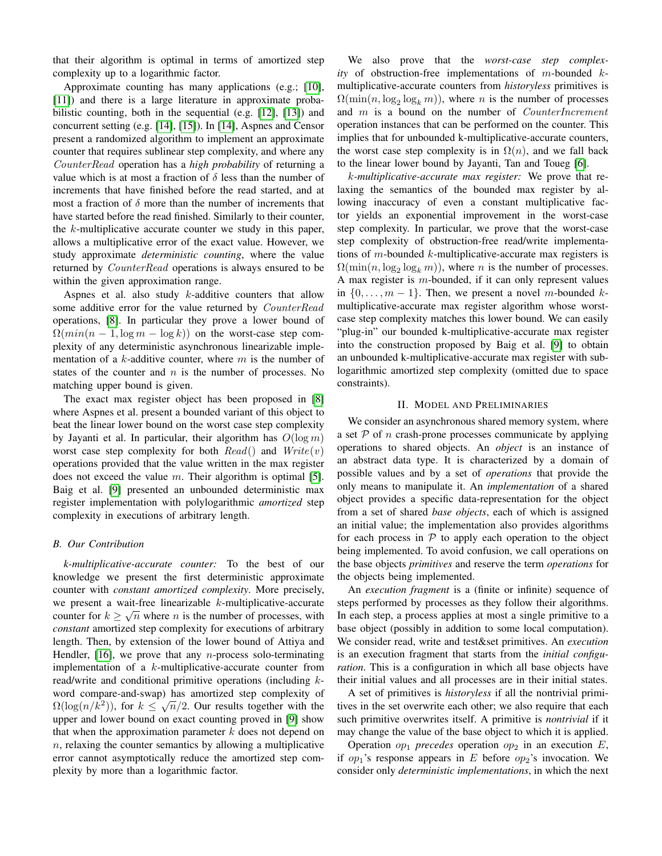that their algorithm is optimal in terms of amortized step complexity up to a logarithmic factor.

Approximate counting has many applications (e.g.; [\[10\]](#page-11-9), [\[11\]](#page-11-10)) and there is a large literature in approximate probabilistic counting, both in the sequential (e.g. [\[12\]](#page-11-11), [\[13\]](#page-11-12)) and concurrent setting (e.g. [\[14\]](#page-11-13), [\[15\]](#page-11-14)). In [\[14\]](#page-11-13), Aspnes and Censor present a randomized algorithm to implement an approximate counter that requires sublinear step complexity, and where any CounterRead operation has a *high probability* of returning a value which is at most a fraction of  $\delta$  less than the number of increments that have finished before the read started, and at most a fraction of  $\delta$  more than the number of increments that have started before the read finished. Similarly to their counter, the  $k$ -multiplicative accurate counter we study in this paper, allows a multiplicative error of the exact value. However, we study approximate *deterministic counting*, where the value returned by *CounterRead* operations is always ensured to be within the given approximation range.

Aspnes et al. also study  $k$ -additive counters that allow some additive error for the value returned by CounterRead operations, [\[8\]](#page-11-7). In particular they prove a lower bound of  $\Omega(min(n-1,\log m - \log k))$  on the worst-case step complexity of any deterministic asynchronous linearizable implementation of a  $k$ -additive counter, where  $m$  is the number of states of the counter and  $n$  is the number of processes. No matching upper bound is given.

The exact max register object has been proposed in [\[8\]](#page-11-7) where Aspnes et al. present a bounded variant of this object to beat the linear lower bound on the worst case step complexity by Jayanti et al. In particular, their algorithm has  $O(\log m)$ worst case step complexity for both  $Read()$  and  $Write(v)$ operations provided that the value written in the max register does not exceed the value  $m$ . Their algorithm is optimal [\[5\]](#page-11-4). Baig et al. [\[9\]](#page-11-8) presented an unbounded deterministic max register implementation with polylogarithmic *amortized* step complexity in executions of arbitrary length.

#### *B. Our Contribution*

*k-multiplicative-accurate counter:* To the best of our knowledge we present the first deterministic approximate counter with *constant amortized complexity*. More precisely, we present a wait-free linearizable  $k$ -multiplicative-accurate counter for  $k \geq \sqrt{n}$  where *n* is the number of processes, with *constant* amortized step complexity for executions of arbitrary length. Then, by extension of the lower bound of Attiya and Hendler,  $[16]$ , we prove that any *n*-process solo-terminating implementation of a k-multiplicative-accurate counter from read/write and conditional primitive operations (including kword compare-and-swap) has amortized step complexity of  $\overline{O(1 - \langle v^2 \rangle)}$  $\Omega(\log(n/k^2))$ , for  $k \leq \sqrt{n}/2$ . Our results together with the upper and lower bound on exact counting proved in [\[9\]](#page-11-8) show that when the approximation parameter  $k$  does not depend on  $n$ , relaxing the counter semantics by allowing a multiplicative error cannot asymptotically reduce the amortized step complexity by more than a logarithmic factor.

We also prove that the *worst-case step complexity* of obstruction-free implementations of m-bounded kmultiplicative-accurate counters from *historyless* primitives is  $\Omega(\min(n, \log_2 \log_k m))$ , where *n* is the number of processes and  $m$  is a bound on the number of  $CounterIncrement$ operation instances that can be performed on the counter. This implies that for unbounded k-multiplicative-accurate counters, the worst case step complexity is in  $\Omega(n)$ , and we fall back to the linear lower bound by Jayanti, Tan and Toueg [\[6\]](#page-11-5).

k*-multiplicative-accurate max register:* We prove that relaxing the semantics of the bounded max register by allowing inaccuracy of even a constant multiplicative factor yields an exponential improvement in the worst-case step complexity. In particular, we prove that the worst-case step complexity of obstruction-free read/write implementations of m-bounded  $k$ -multiplicative-accurate max registers is  $\Omega(\min(n, \log_2 \log_k m))$ , where *n* is the number of processes. A max register is  $m$ -bounded, if it can only represent values in  $\{0, \ldots, m-1\}$ . Then, we present a novel m-bounded kmultiplicative-accurate max register algorithm whose worstcase step complexity matches this lower bound. We can easily "plug-in" our bounded k-multiplicative-accurate max register into the construction proposed by Baig et al. [\[9\]](#page-11-8) to obtain an unbounded k-multiplicative-accurate max register with sublogarithmic amortized step complexity (omitted due to space constraints).

# II. MODEL AND PRELIMINARIES

We consider an asynchronous shared memory system, where a set  $P$  of n crash-prone processes communicate by applying operations to shared objects. An *object* is an instance of an abstract data type. It is characterized by a domain of possible values and by a set of *operations* that provide the only means to manipulate it. An *implementation* of a shared object provides a specific data-representation for the object from a set of shared *base objects*, each of which is assigned an initial value; the implementation also provides algorithms for each process in  $P$  to apply each operation to the object being implemented. To avoid confusion, we call operations on the base objects *primitives* and reserve the term *operations* for the objects being implemented.

An *execution fragment* is a (finite or infinite) sequence of steps performed by processes as they follow their algorithms. In each step, a process applies at most a single primitive to a base object (possibly in addition to some local computation). We consider read, write and test&set primitives. An *execution* is an execution fragment that starts from the *initial configuration*. This is a configuration in which all base objects have their initial values and all processes are in their initial states.

A set of primitives is *historyless* if all the nontrivial primitives in the set overwrite each other; we also require that each such primitive overwrites itself. A primitive is *nontrivial* if it may change the value of the base object to which it is applied.

Operation  $op_1$  *precedes* operation  $op_2$  in an execution E, if  $op_1$ 's response appears in E before  $op_2$ 's invocation. We consider only *deterministic implementations*, in which the next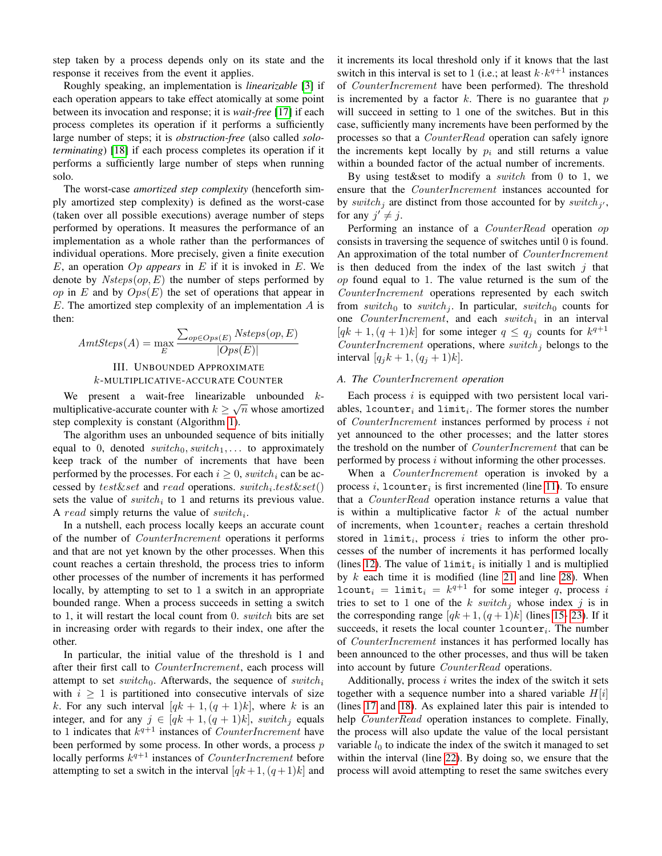step taken by a process depends only on its state and the response it receives from the event it applies.

Roughly speaking, an implementation is *linearizable* [\[3\]](#page-11-2) if each operation appears to take effect atomically at some point between its invocation and response; it is *wait-free* [\[17\]](#page-11-16) if each process completes its operation if it performs a sufficiently large number of steps; it is *obstruction-free* (also called *soloterminating*) [\[18\]](#page-11-17) if each process completes its operation if it performs a sufficiently large number of steps when running solo.

The worst-case *amortized step complexity* (henceforth simply amortized step complexity) is defined as the worst-case (taken over all possible executions) average number of steps performed by operations. It measures the performance of an implementation as a whole rather than the performances of individual operations. More precisely, given a finite execution E, an operation Op *appears* in E if it is invoked in E. We denote by  $Nsteps(op, E)$  the number of steps performed by op in E and by  $Ops(E)$  the set of operations that appear in  $E$ . The amortized step complexity of an implementation  $\tilde{A}$  is then:

$$
AmtSteps(A) = \max_{E} \frac{\sum_{op \in Ops(E)} Nsteps(op, E)}{|Ops(E)|}
$$
  
III. UNBOUNDED APPROXIMATE  
*k*-MULTIPLICATIVE-ACCURATE COUNTER

We present a wait-free linearizable unbounded  $k$ multiplicative-accurate counter with  $k \geq \sqrt{n}$  whose amortized step complexity is constant (Algorithm [1\)](#page-4-0).

The algorithm uses an unbounded sequence of bits initially equal to 0, denoted  $switch_0, switch_1, \ldots$  to approximately keep track of the number of increments that have been performed by the processes. For each  $i \geq 0$ , switch<sub>i</sub> can be accessed by  $test\&set$  and  $read$  operations.  $switch_i.test\&set()$ sets the value of  $switch_i$  to 1 and returns its previous value. A read simply returns the value of  $switch_i$ .

In a nutshell, each process locally keeps an accurate count of the number of CounterIncrement operations it performs and that are not yet known by the other processes. When this count reaches a certain threshold, the process tries to inform other processes of the number of increments it has performed locally, by attempting to set to 1 a switch in an appropriate bounded range. When a process succeeds in setting a switch to 1, it will restart the local count from 0. switch bits are set in increasing order with regards to their index, one after the other.

In particular, the initial value of the threshold is 1 and after their first call to *CounterIncrement*, each process will attempt to set switch<sub>0</sub>. Afterwards, the sequence of switch<sub>i</sub> with  $i \geq 1$  is partitioned into consecutive intervals of size k. For any such interval  $[qk+1,(q+1)k]$ , where k is an integer, and for any  $j \in [qk+1,(q+1)k]$ , switch<sub>j</sub> equals to 1 indicates that  $k^{q+1}$  instances of *CounterIncrement* have been performed by some process. In other words, a process  $p$ locally performs  $k^{q+1}$  instances of *CounterIncrement* before attempting to set a switch in the interval  $[qk+1,(q+1)k]$  and it increments its local threshold only if it knows that the last switch in this interval is set to 1 (i.e.; at least  $k \cdot k^{q+1}$  instances of CounterIncrement have been performed). The threshold is incremented by a factor  $k$ . There is no guarantee that  $p$ will succeed in setting to 1 one of the switches. But in this case, sufficiently many increments have been performed by the processes so that a CounterRead operation can safely ignore the increments kept locally by  $p_i$  and still returns a value within a bounded factor of the actual number of increments.

By using test & to modify a *switch* from 0 to 1, we ensure that the CounterIncrement instances accounted for by switch<sub>j</sub> are distinct from those accounted for by switch<sub>j'</sub>, for any  $j' \neq j$ .

Performing an instance of a CounterRead operation op consists in traversing the sequence of switches until 0 is found. An approximation of the total number of *CounterIncrement* is then deduced from the index of the last switch  $j$  that op found equal to 1. The value returned is the sum of the CounterIncrement operations represented by each switch from switch<sub>0</sub> to switch<sub>j</sub>. In particular, switch<sub>0</sub> counts for one  $CounterIncrement$ , and each switch<sub>i</sub> in an interval  $[qk+1,(q+1)k]$  for some integer  $q \le q_j$  counts for  $k^{q+1}$ CounterIncrement operations, where  $switch_i$  belongs to the interval  $[q_j k + 1, (q_j + 1)k]$ .

## *A. The* CounterIncrement *operation*

Each process  $i$  is equipped with two persistent local variables,  $lcounter_i$  and  $limit_i$ . The former stores the number of CounterIncrement instances performed by process i not yet announced to the other processes; and the latter stores the treshold on the number of CounterIncrement that can be performed by process i without informing the other processes.

When a *CounterIncrement* operation is invoked by a process i,  $l$ counter<sub>i</sub> is first incremented (line [11\)](#page-4-1). To ensure that a CounterRead operation instance returns a value that is within a multiplicative factor  $k$  of the actual number of increments, when  $lcounter_i$  reaches a certain threshold stored in  $limit_i$ , process i tries to inform the other processes of the number of increments it has performed locally (lines [12\)](#page-4-2). The value of  $limit_i$  is initially 1 and is multiplied by  $k$  each time it is modified (line [21](#page-4-3) and line [28\)](#page-4-4). When  $lcount_i = limit_i = k^{q+1}$  for some integer q, process i tries to set to 1 one of the k switch; whose index j is in the corresponding range  $[qk+1,(q+1)k]$  (lines [15-](#page-4-5) [23\)](#page-4-6). If it succeeds, it resets the local counter  $l$  counter<sub>i</sub>. The number of CounterIncrement instances it has performed locally has been announced to the other processes, and thus will be taken into account by future CounterRead operations.

Additionally, process  $i$  writes the index of the switch it sets together with a sequence number into a shared variable  $H[i]$ (lines [17](#page-4-7) and [18\)](#page-4-8). As explained later this pair is intended to help CounterRead operation instances to complete. Finally, the process will also update the value of the local persistant variable  $l_0$  to indicate the index of the switch it managed to set within the interval (line [22\)](#page-4-9). By doing so, we ensure that the process will avoid attempting to reset the same switches every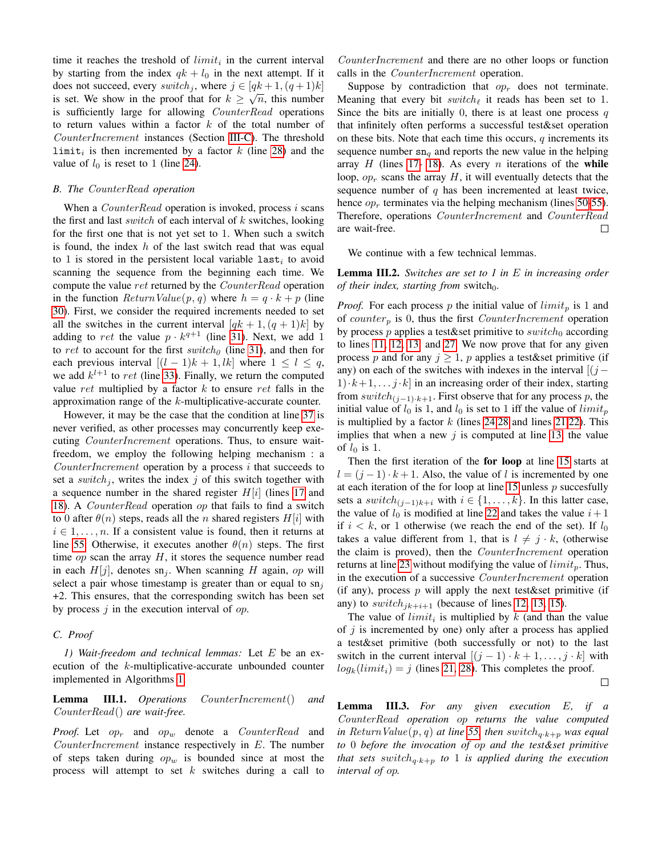time it reaches the treshold of  $limit_i$  in the current interval by starting from the index  $qk + l_0$  in the next attempt. If it does not succeed, every switch, where  $j \in [qk+1, (q+1)k]$ is set. We show in the proof that for  $k \geq \sqrt{n}$ , this number is sufficiently large for allowing *CounterRead* operations to return values within a factor  $k$  of the total number of CounterIncrement instances (Section [III-C\)](#page-3-0). The threshold  $\text{limit}_{i}$  is then incremented by a factor k (line [28\)](#page-4-4) and the value of  $l_0$  is reset to 1 (line [24\)](#page-4-10).

#### *B. The* CounterRead *operation*

When a  $CounterRead$  operation is invoked, process  $i$  scans the first and last *switch* of each interval of  $k$  switches, looking for the first one that is not yet set to 1. When such a switch is found, the index  $h$  of the last switch read that was equal to 1 is stored in the persistent local variable  $\mathtt{last}_i$  to avoid scanning the sequence from the beginning each time. We compute the value ret returned by the CounterRead operation in the function  $ReturnValue(p, q)$  where  $h = q \cdot k + p$  (line [30\)](#page-4-11). First, we consider the required increments needed to set all the switches in the current interval  $[qk+1,(q+1)k]$  by adding to ret the value  $p \cdot k^{q+1}$  (line [31\)](#page-4-12). Next, we add 1 to ret to account for the first switch<sub>0</sub> (line [31\)](#page-4-12), and then for each previous interval  $[(l - 1)k + 1, lk]$  where  $1 \leq l \leq q$ , we add  $k^{l+1}$  to ret (line [33\)](#page-4-13). Finally, we return the computed value ret multiplied by a factor  $k$  to ensure ret falls in the approximation range of the k-multiplicative-accurate counter.

However, it may be the case that the condition at line [37](#page-4-14) is never verified, as other processes may concurrently keep executing CounterIncrement operations. Thus, to ensure waitfreedom, we employ the following helping mechanism : a CounterIncrement operation by a process i that succeeds to set a switch<sub>j</sub>, writes the index j of this switch together with a sequence number in the shared register  $H[i]$  (lines [17](#page-4-7) and [18\)](#page-4-8). A CounterRead operation op that fails to find a switch to 0 after  $\theta(n)$  steps, reads all the n shared registers H[i] with  $i \in 1, \ldots, n$ . If a consistent value is found, then it returns at line [55.](#page-4-15) Otherwise, it executes another  $\theta(n)$  steps. The first time  $op$  scan the array  $H$ , it stores the sequence number read in each  $H[j]$ , denotes sn<sub>j</sub>. When scanning H again, op will select a pair whose timestamp is greater than or equal to  $sn<sub>j</sub>$ +2. This ensures, that the corresponding switch has been set by process  $j$  in the execution interval of  $op.$ 

## <span id="page-3-0"></span>*C. Proof*

*1) Wait-freedom and technical lemmas:* Let E be an execution of the k-multiplicative-accurate unbounded counter implemented in Algorithms [1.](#page-4-0)

<span id="page-3-3"></span>Lemma III.1. *Operations* CounterIncrement() *and* CounterRead() *are wait-free.*

*Proof.* Let  $op_r$  and  $op_w$  denote a *CounterRead* and CounterIncrement instance respectively in E. The number of steps taken during  $op_w$  is bounded since at most the process will attempt to set  $k$  switches during a call to

CounterIncrement and there are no other loops or function calls in the CounterIncrement operation.

Suppose by contradiction that  $op<sub>r</sub>$  does not terminate. Meaning that every bit  $switch_{\ell}$  it reads has been set to 1. Since the bits are initially 0, there is at least one process  $q$ that infinitely often performs a successful test&set operation on these bits. Note that each time this occurs,  $q$  increments its sequence number  $sn_q$  and reports the new value in the helping array  $H$  (lines [17-](#page-4-7) [18\)](#page-4-8). As every  $n$  iterations of the while loop,  $op<sub>r</sub>$  scans the array H, it will eventually detects that the sequence number of  $q$  has been incremented at least twice, hence  $op<sub>r</sub>$  terminates via the helping mechanism (lines [50](#page-4-16)[-55\)](#page-4-15). Therefore, operations CounterIncrement and CounterRead are wait-free.  $\Box$ 

We continue with a few technical lemmas.

<span id="page-3-1"></span>Lemma III.2. *Switches are set to 1 in* E *in increasing order of their index, starting from switch*<sub>0</sub>.

*Proof.* For each process p the initial value of  $limit_p$  is 1 and of counter<sub>n</sub> is 0, thus the first *CounterIncrement* operation by process  $p$  applies a test&set primitive to  $switch_0$  according to lines [11,](#page-4-1) [12,](#page-4-2) [13,](#page-4-17) and [27.](#page-4-18) We now prove that for any given process p and for any  $j \geq 1$ , p applies a test&set primitive (if any) on each of the switches with indexes in the interval  $[(j 1) \cdot k+1, \ldots j \cdot k$  in an increasing order of their index, starting from  $switch_{(i-1)\cdot k+1}$ . First observe that for any process p, the initial value of  $l_0$  is 1, and  $l_0$  is set to 1 iff the value of  $limit_p$ is multiplied by a factor  $k$  (lines [24,](#page-4-10)[28](#page-4-4) and lines [21,](#page-4-3)[22\)](#page-4-9). This implies that when a new  $j$  is computed at line [13,](#page-4-17) the value of  $l_0$  is 1.

Then the first iteration of the for loop at line [15](#page-4-5) starts at  $l = (j - 1) \cdot k + 1$ . Also, the value of l is incremented by one at each iteration of the for loop at line [15](#page-4-5) unless  $p$  succesfully sets a switch $(i-1)_{k+i}$  with  $i \in \{1, \ldots, k\}$ . In this latter case, the value of  $l_0$  is modified at line [22](#page-4-9) and takes the value  $i+1$ if  $i < k$ , or 1 otherwise (we reach the end of the set). If  $l_0$ takes a value different from 1, that is  $l \neq j \cdot k$ , (otherwise the claim is proved), then the CounterIncrement operation returns at line [23](#page-4-6) without modifying the value of  $limit_p$ . Thus, in the execution of a successive CounterIncrement operation (if any), process  $p$  will apply the next test & set primitive (if any) to switch  $i_{ik+i+1}$  (because of lines [12,](#page-4-2) [13,](#page-4-17) [15\)](#page-4-5).

The value of  $limit_i$  is multiplied by k (and than the value of  $j$  is incremented by one) only after a process has applied a test&set primitive (both successfully or not) to the last switch in the current interval  $[(j - 1) \cdot k + 1, \ldots, j \cdot k]$  with  $log_k(limit_i) = j$  (lines [21,](#page-4-3) [28\)](#page-4-4). This completes the proof.

 $\Box$ 

<span id="page-3-2"></span>Lemma III.3. *For any given execution* E*, if a* CounterRead *operation* op *returns the value computed in* ReturnValue(p, q) at line [55,](#page-4-15) then  $switch_{a \cdot k+n}$  was equal *to* 0 *before the invocation of* op *and the test&set primitive that sets switch* $_{q \cdot k+p}$  *to* 1 *is applied during the execution interval of* op*.*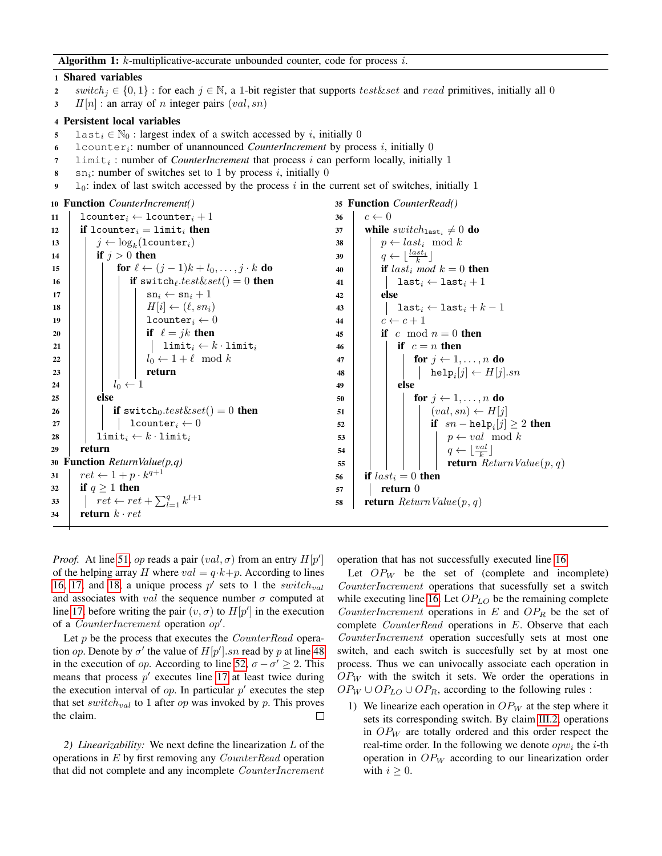#### 1 Shared variables

- 2 switch  $j \in \{0,1\}$ : for each  $j \in \mathbb{N}$ , a 1-bit register that supports test&set and read primitives, initially all 0
- $3$  H  $[n]$  : an array of n integer pairs  $(val, sn)$

#### 4 Persistent local variables

- 5 last<sub>i</sub>  $\in$  N<sub>0</sub> : largest index of a switch accessed by *i*, initially 0
- 6 lcounter<sub>i</sub>: number of unannounced *CounterIncrement* by process i, initially 0
- 7 limit<sub>i</sub>: number of *CounterIncrement* that process *i* can perform locally, initially 1
- $s$  sn<sub>i</sub>: number of switches set to 1 by process i, initially 0
- <span id="page-4-14"></span>9  $\log$  l<sub>0</sub>: index of last switch accessed by the process i in the current set of switches, initially 1

```
10 Function CounterIncrement()
11 | lcounter<sub>i</sub> ← lcounter<sub>i</sub> + 1
12 if lcounter<sub>i</sub> = limit<sub>i</sub> then
\begin{array}{c|c} \texttt{13} & j \leftarrow \log_k(\texttt{lcounter}_i) \end{array}14 if j > 0 then
15 for \ell \leftarrow (j - 1)k + l_0, \ldots, j \cdot k do
16 | | | if switch<sub>l</sub>.test\&set = 0 then
17 | | | \operatorname{sn}_i \leftarrow \operatorname{sn}_i + 118 \vert \vert \vert \vert \vert H[i] \leftarrow (\ell, sn_i)19 | | | | \vert lcounter<sub>i</sub> \leftarrow 020 | | | | if \ell = jk then
21 | | | | \text{limit}_{i} \leftarrow k \cdot \text{limit}_{i}22 | | | | l_0 \leftarrow 1 + \ell \mod k23 | | | | | return
24 | | l_0 \leftarrow 125 else
26 i if switch0. test\&set() = 0 then
27 | | | | 1counter<sub>i</sub> \leftarrow 028 | limit<sub>i</sub> ← k · limit<sub>i</sub>
29 return
30 Function ReturnValue(p,q)
31 \vert \text{ret} \leftarrow 1 + p \cdot k^{q+1}32 if q \geq 1 then
33 \left| \quad \right| ret \leftarrow ret + \sum_{l=1}^{q} k^{l+1}34 return k \cdot ret35 Function CounterRead()
                                                                                 36 c \leftarrow 037 | while switch_{\texttt{last}_i} \neq 0 do
                                                                                 38 | p \leftarrow last_i \mod k39 \Big| \qquad q \leftarrow \lfloor \frac{last_i}{k} \rfloor40 if last<sub>i</sub> mod k = 0 then
                                                                                 41 | | last<sub>i</sub> \leftarrow last<sub>i</sub> + 1
                                                                                 42 else
                                                                                 43 | | last<sub>i</sub> ← last<sub>i</sub> + k-144 | c \leftarrow c + 145 if c mod n = 0 then
                                                                                 46 if c = n then
                                                                                 47 \vert \vert \vert for i \leftarrow 1, \ldots, n do
                                                                                  \quad \quad \textbf{48} \quad | \quad | \quad | \quad | \quad \textbf{help}_i[j] \leftarrow H[j].sn49 | | else
                                                                                 50 \vert \vert for j \leftarrow 1, \ldots, n do
                                                                                 51 \vert \vert \vert \vert \vert \vert \langle val, sn \rangle \leftarrow H[j]52 \vert \vert \vert \vert if sn - \text{help}_i[j] \geq 2 then
                                                                                  53 | | | | | p \leftarrow val \mod k54 \vert \vert \vert \vert \vert \vert q \leftarrow \lfloor \frac{val}{k} \rfloor55 | | | | | | return Return Value(p, q)56 if last_i = 0 then
                                                                                 57 return 0
                                                                                 58 return Return Value(p, q)
```
<span id="page-4-26"></span><span id="page-4-18"></span><span id="page-4-13"></span><span id="page-4-12"></span><span id="page-4-11"></span><span id="page-4-4"></span><span id="page-4-0"></span>*Proof.* At line [51,](#page-4-19) op reads a pair  $(val, \sigma)$  from an entry  $H[p']$ of the helping array H where  $val = q \cdot k + p$ . According to lines [16,](#page-4-20) [17,](#page-4-7) and [18,](#page-4-8) a unique process  $p'$  sets to 1 the switch<sub>val</sub> and associates with val the sequence number  $\sigma$  computed at line [17,](#page-4-7) before writing the pair  $(v, \sigma)$  to  $H[p']$  in the execution of a *CounterIncrement* operation  $op'.$ 

Let p be the process that executes the *CounterRead* operation *op*. Denote by  $\sigma'$  the value of  $H[p']$ . *sn* read by p at line [48](#page-4-21) in the execution of *op*. According to line [52,](#page-4-22)  $\sigma - \sigma' \geq 2$ . This means that process  $p'$  executes line [17](#page-4-7) at least twice during the execution interval of  $op.$  In particular  $p'$  executes the step that set switch<sub>val</sub> to 1 after op was invoked by p. This proves the claim.  $\Box$ 

*2) Linearizability:* We next define the linearization L of the operations in  $E$  by first removing any  $CounterRead$  operation that did not complete and any incomplete CounterIncrement <span id="page-4-30"></span><span id="page-4-29"></span><span id="page-4-28"></span><span id="page-4-27"></span><span id="page-4-24"></span><span id="page-4-23"></span><span id="page-4-22"></span><span id="page-4-21"></span><span id="page-4-19"></span><span id="page-4-16"></span><span id="page-4-15"></span>operation that has not successfully executed line [16.](#page-4-20)

Let  $OP_W$  be the set of (complete and incomplete) CounterIncrement operations that sucessfully set a switch while executing line [16.](#page-4-20) Let  $OP<sub>LO</sub>$  be the remaining complete CounterIncrement operations in  $E$  and  $OP_R$  be the set of complete *CounterRead* operations in E. Observe that each CounterIncrement operation succesfully sets at most one switch, and each switch is succesfully set by at most one process. Thus we can univocally associate each operation in  $OP_W$  with the switch it sets. We order the operations in  $OP_W \cup OP_{LO} \cup OP_R$ , according to the following rules :

1) We linearize each operation in  $OP_W$  at the step where it sets its corresponding switch. By claim [III.2,](#page-3-1) operations in  $OP_W$  are totally ordered and this order respect the real-time order. In the following we denote  $opw_i$  the *i*-th operation in  $OP_W$  according to our linearization order with  $i > 0$ .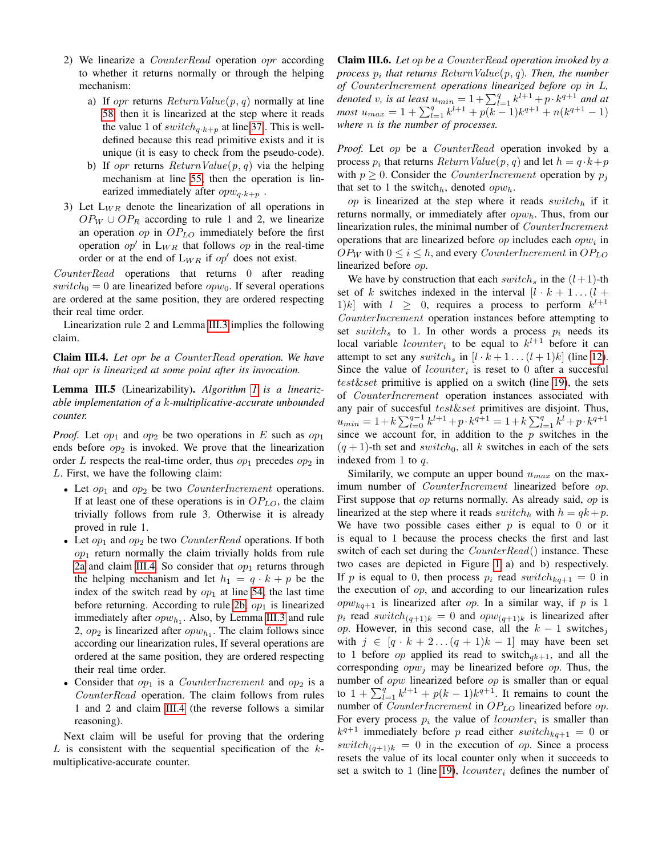- <span id="page-5-0"></span>2) We linearize a CounterRead operation opr according to whether it returns normally or through the helping mechanism:
	- a) If *opr* returns  $ReturnValue(p, q)$  normally at line [58,](#page-4-23) then it is linearized at the step where it reads the value 1 of  $switch_{a\cdot k+p}$  at line [37](#page-4-14). This is welldefined because this read primitive exists and it is unique (it is easy to check from the pseudo-code).
	- b) If opr returns  $ReturnValue(p, q)$  via the helping mechanism at line [55,](#page-4-15) then the operation is linearized immediately after  $opw_{q \cdot k+p}$ .
- <span id="page-5-2"></span>3) Let  $L_{WR}$  denote the linearization of all operations in  $OP_W \cup OP_R$  according to rule 1 and 2, we linearize an operation  $op$  in  $OP<sub>LO</sub>$  immediately before the first operation  $op'$  in  $L_{WR}$  that follows  $op$  in the real-time order or at the end of  $L_{WR}$  if op' does not exist.

CounterRead operations that returns 0 after reading  $switch_0 = 0$  are linearized before  $opw_0$ . If several operations are ordered at the same position, they are ordered respecting their real time order.

Linearization rule 2 and Lemma [III.3](#page-3-2) implies the following claim.

<span id="page-5-1"></span>Claim III.4. *Let* opr *be a* CounterRead *operation. We have that* opr *is linearized at some point after its invocation.*

<span id="page-5-4"></span>Lemma III.5 (Linearizability). *Algorithm [1](#page-4-0) is a linearizable implementation of a* k*-multiplicative-accurate unbounded counter.*

*Proof.* Let  $op_1$  and  $op_2$  be two operations in E such as  $op_1$ ends before  $op_2$  is invoked. We prove that the linearization order L respects the real-time order, thus  $op_1$  precedes  $op_2$  in L. First, we have the following claim:

- Let  $op_1$  and  $op_2$  be two *CounterIncrement* operations. If at least one of these operations is in  $OP<sub>LO</sub>$ , the claim trivially follows from rule 3. Otherwise it is already proved in rule 1.
- Let  $op_1$  and  $op_2$  be two *CounterRead* operations. If both  $op<sub>1</sub>$  return normally the claim trivially holds from rule [2a](#page-5-0) and claim [III.4.](#page-5-1) So consider that  $op<sub>1</sub>$  returns through the helping mechanism and let  $h_1 = q \cdot k + p$  be the index of the switch read by  $op_1$  at line [54,](#page-4-24) the last time before returning. According to rule [2b,](#page-5-2)  $op_1$  is linearized immediately after  $opw_{h_1}$ . Also, by Lemma [III.3](#page-3-2) and rule 2,  $op_2$  is linearized after  $opw_{h_1}$ . The claim follows since according our linearization rules, If several operations are ordered at the same position, they are ordered respecting their real time order.
- Consider that  $op_1$  is a *CounterIncrement* and  $op_2$  is a CounterRead operation. The claim follows from rules 1 and 2 and claim [III.4](#page-5-1) (the reverse follows a similar reasoning).

Next claim will be useful for proving that the ordering  $L$  is consistent with the sequential specification of the  $k$ multiplicative-accurate counter.

<span id="page-5-3"></span>Claim III.6. *Let* op *be a* CounterRead *operation invoked by a process* p<sup>i</sup> *that returns* ReturnValue(p, q)*. Then, the number of* CounterIncrement *operations linearized before* op *in* L*, denoted* v, is at least  $u_{min} = 1 + \sum_{l=1}^{q} k^{l+1} + p \cdot k^{q+1}$  and at  $\textit{most } u_{\textit{max}} = 1 + \sum_{l=1}^{q} k^{l+1} + p(k-1)k^{q+1} + n(k^{q+1}-1)$ *where* n *is the number of processes.*

Proof. Let op be a CounterRead operation invoked by a process  $p_i$  that returns  $ReturnValue(p, q)$  and let  $h = q \cdot k + p$ with  $p \geq 0$ . Consider the *CounterIncrement* operation by  $p_i$ that set to 1 the switch<sub>h</sub>, denoted  $opw_h$ .

op is linearized at the step where it reads  $switch<sub>h</sub>$  if it returns normally, or immediately after  $opw<sub>h</sub>$ . Thus, from our linearization rules, the minimal number of CounterIncrement operations that are linearized before  $op$  includes each  $opw_i$  in  $OP_W$  with  $0 \le i \le h$ , and every *CounterIncrement* in  $OP_{LO}$ linearized before op.

We have by construction that each switch<sub>s</sub> in the  $(l+1)$ -th set of k switches indexed in the interval  $[l \cdot k + 1 \dots (l +$ 1)k] with  $l \geq 0$ , requires a process to perform  $k^{l+1}$ CounterIncrement operation instances before attempting to set switch<sub>s</sub> to 1. In other words a process  $p_i$  needs its local variable *lcounter* to be equal to  $k^{l+1}$  before it can attempt to set any switch<sub>s</sub> in  $[l \cdot k + 1 \dots (l + 1)k]$  (line [12\)](#page-4-2). Since the value of  $lcounter_i$  is reset to 0 after a succesful  $test\&set$  primitive is applied on a switch (line [19\)](#page-4-25), the sets of CounterIncrement operation instances associated with any pair of succesful test&set primitives are disjoint. Thus,  $u_{min} = 1 + k \sum_{l=0}^{q-1} k^{l+1} + p \cdot k^{q+1} = 1 + k \sum_{l=1}^{q} k^{l} + p \cdot k^{q+1}$ since we account for, in addition to the  $p$  switches in the  $(q + 1)$ -th set and switch<sub>0</sub>, all k switches in each of the sets indexed from 1 to q.

Similarily, we compute an upper bound  $u_{max}$  on the maximum number of CounterIncrement linearized before op. First suppose that op returns normally. As already said, op is linearized at the step where it reads switch<sub>h</sub> with  $h = qk + p$ . We have two possible cases either  $p$  is equal to 0 or it is equal to 1 because the process checks the first and last switch of each set during the  $CounterRead()$  instance. These two cases are depicted in Figure [1](#page-6-0) a) and b) respectively. If p is equal to 0, then process  $p_i$  read switch  $k_{q+1} = 0$  in the execution of op, and according to our linearization rules  $opw_{kq+1}$  is linearized after op. In a similar way, if p is 1  $p_i$  read switch $(p_{(q+1)k} = 0$  and  $opw_{(q+1)k}$  is linearized after *op.* However, in this second case, all the  $k - 1$  switches<sub>j</sub> with  $j \in [q \cdot k + 2 \dots (q + 1)k - 1]$  may have been set to 1 before *op* applied its read to switch $_{ak+1}$ , and all the corresponding  $opw_j$  may be linearized before op. Thus, the number of *opw* linearized before *op* is smaller than or equal to  $1 + \sum_{l=1}^{q} k^{l+1} + p(k-1)k^{q+1}$ . It remains to count the number of *CounterIncrement* in  $OP<sub>LO</sub>$  linearized before op. For every process  $p_i$  the value of *lcounter<sub>i</sub>* is smaller than  $k^{q+1}$  immediately before p read either switch $k_{q+1} = 0$  or  $switch_{(q+1)k} = 0$  in the execution of op. Since a process resets the value of its local counter only when it succeeds to set a switch to 1 (line [19\)](#page-4-25),  $lcounter_i$  defines the number of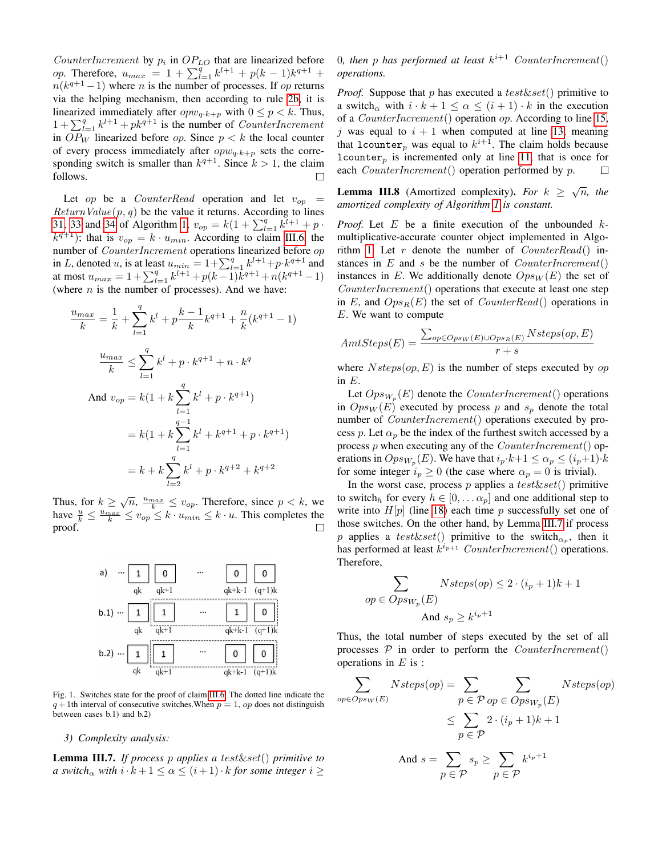CounterIncrement by  $p_i$  in  $OP_{LO}$  that are linearized before op. Therefore,  $u_{max} = 1 + \sum_{l=1}^{q} k^{l+1} + p(k-1)k^{q+1} +$  $n(k^{q+1}-1)$  where *n* is the number of processes. If *op* returns via the helping mechanism, then according to rule [2b,](#page-5-2) it is linearized immediately after  $opw_{q \cdot k+p}$  with  $0 \leq p < k$ . Thus,  $1 + \sum_{l=1}^{q} k^{l+1} + pk^{q+1}$  is the number of *CounterIncrement* in  $OP_W$  linearized before *op*. Since  $p < k$  the local counter of every process immediately after  $opw_{q\cdot k+p}$  sets the corresponding switch is smaller than  $k^{q+1}$ . Since  $k > 1$ , the claim follows.

Let op be a CounterRead operation and let  $v_{op}$  =  $ReturnValue(p, q)$  be the value it returns. According to lines [31,](#page-4-12) [33](#page-4-13) and [34](#page-4-26) of Algorithm [1,](#page-4-0)  $v_{op} = k(1 + \sum_{l=1}^{q} k^{l+1} + p \cdot$  $k^{q+1}$ ); that is  $v_{op} = k \cdot u_{min}$ . According to claim [III.6,](#page-5-3) the number of CounterIncrement operations linearized before op in L, denoted u, is at least  $u_{min} = 1 + \sum_{l=1}^{q} k^{l+1} + p \cdot k^{q+1}$  and at most  $u_{max} = 1 + \sum_{l=1}^{q} k^{l+1} + p(k-1)k^{q+1} + n(k^{q+1}-1)$ (where  $n$  is the number of processes). And we have:

$$
\frac{u_{max}}{k} = \frac{1}{k} + \sum_{l=1}^{q} k^l + p\frac{k-1}{k}k^{q+1} + \frac{n}{k}(k^{q+1} - 1)
$$

$$
\frac{u_{max}}{k} \le \sum_{l=1}^{q} k^l + p \cdot k^{q+1} + n \cdot k^q
$$
And  $v_{op} = k(1 + k\sum_{l=1}^{q} k^l + p \cdot k^{q+1})$ 
$$
= k(1 + k\sum_{l=1}^{q-1} k^l + k^{q+1} + p \cdot k^{q+1})
$$

$$
= k + k\sum_{l=2}^{q} k^l + p \cdot k^{q+2} + k^{q+2}
$$

Thus, for  $k \geq \sqrt{n}$ ,  $\frac{u_{max}}{k} \leq v_{op}$ . Therefore, since  $p < k$ , we have  $\frac{u}{k} \leq \frac{u_{max}}{k} \leq v_{op} \leq k \cdot u_{min} \leq k \cdot u$ . This completes the proof.



<span id="page-6-0"></span>Fig. 1. Switches state for the proof of claim [III.6.](#page-5-3) The dotted line indicate the  $q+1$ th interval of consecutive switches. When  $p=1$ , op does not distinguish between cases b.1) and b.2)

#### *3) Complexity analysis:*

<span id="page-6-1"></span>Lemma III.7. *If process* p *applies a* test&set() *primitive to a switch*<sub>α</sub> *with*  $i \cdot k + 1 \leq \alpha \leq (i + 1) \cdot k$  *for some integer*  $i \geq$ 

0, then p has performed at least  $k^{i+1}$  CounterIncrement() *operations.*

*Proof.* Suppose that p has executed a test & set() primitive to a switch<sub>α</sub> with  $i \cdot k + 1 \leq \alpha \leq (i + 1) \cdot k$  in the execution of a *CounterIncrement*() operation  $op.$  According to line [15,](#page-4-5) j was equal to  $i + 1$  when computed at line [13,](#page-4-17) meaning that lcounter, was equal to  $k^{i+1}$ . The claim holds because lcounter<sub>p</sub> is incremented only at line [11,](#page-4-1) that is once for each *CounterIncrement*() operation performed by p.  $\Box$ 

<span id="page-6-2"></span>**Lemma III.8** (Amortized complexity). *For*  $k \ge \sqrt{n}$ , *the amortized complexity of Algorithm [1](#page-4-0) is constant.*

*Proof.* Let  $E$  be a finite execution of the unbounded  $k$ multiplicative-accurate counter object implemented in Algo-rithm [1.](#page-4-0) Let  $r$  denote the number of  $CounterRead()$  instances in  $E$  and  $s$  be the number of *CounterIncrement*() instances in E. We additionally denote  $Ops_W(E)$  the set of CounterIncrement() operations that execute at least one step in E, and  $Ops_R(E)$  the set of  $CounterRead()$  operations in E. We want to compute

$$
AmtSteps(E) = \frac{\sum_{op \in Ops_W(E) \cup Ops_R(E)} Nsteps(op, E)}{r + s}
$$

where  $Nsteps(op, E)$  is the number of steps executed by op in E.

Let  $Ops_{W_p}(E)$  denote the *CounterIncrement*() operations in  $Ops_W(E)$  executed by process p and  $s_p$  denote the total number of *CounterIncrement*() operations executed by process p. Let  $\alpha_p$  be the index of the furthest switch accessed by a process  $p$  when executing any of the  $CounterIncrement()$  operations in  $Op_{sW_p}(E)$ . We have that  $i_p \cdot k+1 \leq \alpha_p \leq (i_p+1) \cdot k$ for some integer  $i_p \ge 0$  (the case where  $\alpha_p = 0$  is trivial).

In the worst case, process p applies a  $test\&set()$  primitive to switch<sub>h</sub> for every  $h \in [0, \dots \alpha_p]$  and one additional step to write into  $H[p]$  (line [18\)](#page-4-8) each time p successfully set one of those switches. On the other hand, by Lemma [III.7](#page-6-1) if process p applies a test & set() primitive to the switch $_{\alpha_p}$ , then it has performed at least  $k^{i_{p+1}}$  CounterIncrement() operations. Therefore,

$$
\sum_{op \in Ops_{W_p}(E)} Nsteps(op) \le 2 \cdot (i_p + 1)k + 1
$$
  
and  $s_p \ge k^{i_p + 1}$ 

Thus, the total number of steps executed by the set of all processes  $P$  in order to perform the *CounterIncrement*() operations in  $E$  is :

$$
\sum_{op \in Opsw(E)} Nsteps(op) = \sum_{p \in \mathcal{P} \text{ op} \in Opsw_p(E)} Nsteps(op)
$$
  

$$
\leq \sum_{p \in \mathcal{P}} 2 \cdot (i_p + 1)k + 1
$$
  
And  $s = \sum_{p \in \mathcal{P}} s_p \geq \sum_{p \in \mathcal{P}} k^{i_p + 1}$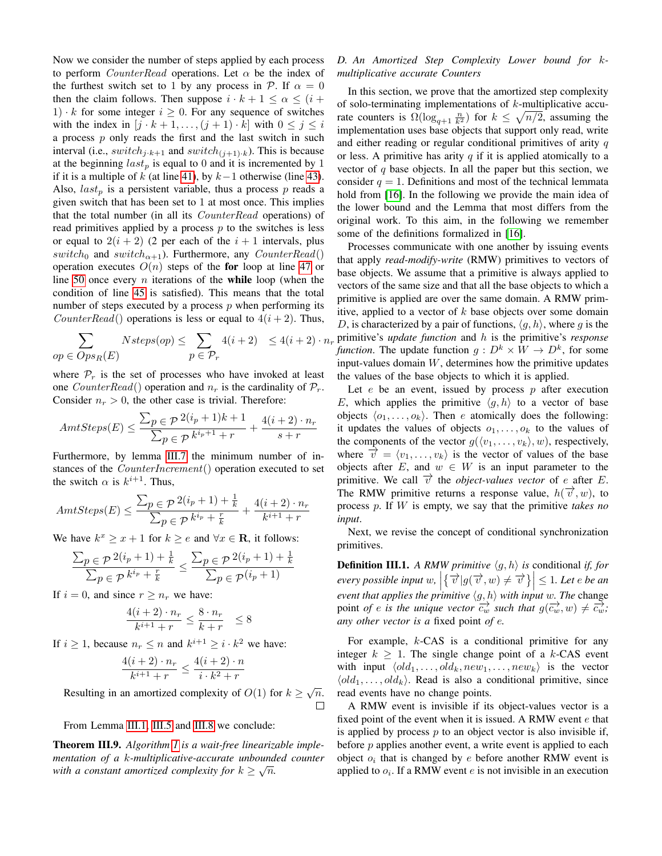Now we consider the number of steps applied by each process to perform *CounterRead* operations. Let  $\alpha$  be the index of the furthest switch set to 1 by any process in  $P$ . If  $\alpha = 0$ then the claim follows. Then suppose  $i \cdot k + 1 \leq \alpha \leq (i + 1)$ 1)  $\cdot k$  for some integer  $i \geq 0$ . For any sequence of switches with the index in  $[j \cdot k + 1, \ldots, (j + 1) \cdot k]$  with  $0 \le j \le i$ a process  $p$  only reads the first and the last switch in such interval (i.e.,  $switch_{j\cdot k+1}$  and  $switch_{(j+1)\cdot k}$ ). This is because at the beginning  $last_p$  is equal to 0 and it is incremented by 1 if it is a multiple of  $k$  (at line [41\)](#page-4-27), by  $k-1$  otherwise (line [43\)](#page-4-28). Also,  $last_p$  is a persistent variable, thus a process  $p$  reads a given switch that has been set to 1 at most once. This implies that the total number (in all its CounterRead operations) of read primitives applied by a process  $p$  to the switches is less or equal to  $2(i + 2)$  (2 per each of the  $i + 1$  intervals, plus switch<sub>0</sub> and switch<sub> $\alpha+1$ </sub>). Furthermore, any CounterRead() operation executes  $O(n)$  steps of the for loop at line [47](#page-4-29) or line [50](#page-4-16) once every  $n$  iterations of the while loop (when the condition of line [45](#page-4-30) is satisfied). This means that the total number of steps executed by a process  $p$  when performing its *CounterRead*() operations is less or equal to  $4(i + 2)$ . Thus,

$$
\sum_{op \in Ops_R(E)} Nsteps(op) \leq \sum_{p \in \mathcal{P}_r} 4(i+2) \leq 4(i+2) \cdot n_r
$$

where  $P_r$  is the set of processes who have invoked at least one *CounterRead*() operation and  $n_r$  is the cardinality of  $P_r$ . Consider  $n_r > 0$ , the other case is trivial. Therefore:

$$
AmtSteps(E) \le \frac{\sum_{p \in \mathcal{P}} 2(i_p + 1)k + 1}{\sum_{p \in \mathcal{P}} k^{i_p + 1} + r} + \frac{4(i + 2) \cdot n_r}{s + r}
$$

Furthermore, by lemma [III.7](#page-6-1) the minimum number of instances of the *CounterIncrement*() operation executed to set the switch  $\alpha$  is  $k^{i+1}$ . Thus,

$$
AmtSteps(E) \le \frac{\sum_{p \in \mathcal{P}} 2(i_p + 1) + \frac{1}{k}}{\sum_{p \in \mathcal{P}} k^{i_p} + \frac{r}{k}} + \frac{4(i + 2) \cdot n_r}{k^{i+1} + r}
$$

We have  $k^x \ge x + 1$  for  $k \ge e$  and  $\forall x \in \mathbf{R}$ , it follows:

$$
\frac{\sum_{p \in \mathcal{P}} 2(i_p + 1) + \frac{1}{k}}{\sum_{p \in \mathcal{P}} k^{i_p} + \frac{r}{k}} \le \frac{\sum_{p \in \mathcal{P}} 2(i_p + 1) + \frac{1}{k}}{\sum_{p \in \mathcal{P}} (i_p + 1)}
$$

If  $i = 0$ , and since  $r \geq n_r$  we have:

$$
\frac{4(i+2)\cdot n_r}{k^{i+1}+r} \le \frac{8\cdot n_r}{k+r} \le 8
$$

If  $i \geq 1$ , because  $n_r \leq n$  and  $k^{i+1} \geq i \cdot k^2$  we have:

$$
\frac{4(i+2)\cdot n_r}{k^{i+1}+r}\leq \frac{4(i+2)\cdot n}{i\cdot k^2+r}
$$

Resulting in an amortized complexity of  $O(1)$  for  $k \ge \sqrt{n}$ .  $\Box$ 

From Lemma [III.1,](#page-3-3) [III.5](#page-5-4) and [III.8](#page-6-2) we conclude:

Theorem III.9. *Algorithm [1](#page-4-0) is a wait-free linearizable implementation of a* k*-multiplicative-accurate unbounded counter* √ *with a constant amortized complexity for*  $k \geq \sqrt{n}$ .

# *D. An Amortized Step Complexity Lower bound for* k*multiplicative accurate Counters*

In this section, we prove that the amortized step complexity of solo-terminating implementations of  $k$ -multiplicative accurate counters is  $\Omega(\log_{q+1} \frac{n}{k^2})$  for  $k \leq \sqrt{n/2}$ , assuming the implementation uses base objects that support only read, write and either reading or regular conditional primitives of arity  $q$ or less. A primitive has arity  $q$  if it is applied atomically to a vector of  $q$  base objects. In all the paper but this section, we consider  $q = 1$ . Definitions and most of the technical lemmata hold from [\[16\]](#page-11-15). In the following we provide the main idea of the lower bound and the Lemma that most differs from the original work. To this aim, in the following we remember some of the definitions formalized in [\[16\]](#page-11-15).

Processes communicate with one another by issuing events that apply *read-modify-write* (RMW) primitives to vectors of base objects. We assume that a primitive is always applied to vectors of the same size and that all the base objects to which a primitive is applied are over the same domain. A RMW primitive, applied to a vector of  $k$  base objects over some domain D, is characterized by a pair of functions,  $\langle q, h \rangle$ , where g is the primitive's *update function* and h is the primitive's *response function*. The update function  $g: D^k \times W \to D^k$ , for some input-values domain  $W$ , determines how the primitive updates the values of the base objects to which it is applied.

Let  $e$  be an event, issued by process  $p$  after execution E, which applies the primitive  $\langle g, h \rangle$  to a vector of base objects  $\langle o_1, \ldots, o_k \rangle$ . Then e atomically does the following: it updates the values of objects  $o_1, \ldots, o_k$  to the values of the components of the vector  $g(\langle v_1, \ldots, v_k \rangle, w)$ , respectively, where  $\vec{v} = \langle v_1, \ldots, v_k \rangle$  is the vector of values of the base objects after E, and  $w \in W$  is an input parameter to the primitive. We call  $\vec{v}$  the *object-values vector* of *e* after *E*. The RMW primitive returns a response value,  $h(\vec{v}, w)$ , to process p. If W is empty, we say that the primitive *takes no input*.

Next, we revise the concept of conditional synchronization primitives.

**Definition III.1.** *A RMW primitive*  $\langle g, h \rangle$  *is* conditional *if, for*  $\mathbb{R}$  *every possible input* w,  $\left| \{ \overrightarrow{v} | g(\overrightarrow{v}, w) \neq \overrightarrow{v} \} \right| \leq 1$ . Let e be an<br>  $\mathbb{R}$  with the surfixe the minitive (s, b) with invetor. The shapes *event that applies the primitive*  $\langle g, h \rangle$  with *input* w. The change point *of* e is the unique vector  $\overrightarrow{c_w}$  such that  $g(\overrightarrow{c_w}, w) \neq \overrightarrow{c_w}$ ; *any other vector is a* fixed point *of* e*.*

For example,  $k$ -CAS is a conditional primitive for any integer  $k \geq 1$ . The single change point of a k-CAS event with input  $\langle old_1, \ldots, old_k, new_1, \ldots, new_k \rangle$  is the vector  $\langle old_1, \ldots, old_k \rangle$ . Read is also a conditional primitive, since read events have no change points.

A RMW event is invisible if its object-values vector is a fixed point of the event when it is issued. A RMW event  $e$  that is applied by process  $p$  to an object vector is also invisible if, before  $p$  applies another event, a write event is applied to each object  $o_i$  that is changed by  $e$  before another RMW event is applied to  $o_i$ . If a RMW event e is not invisible in an execution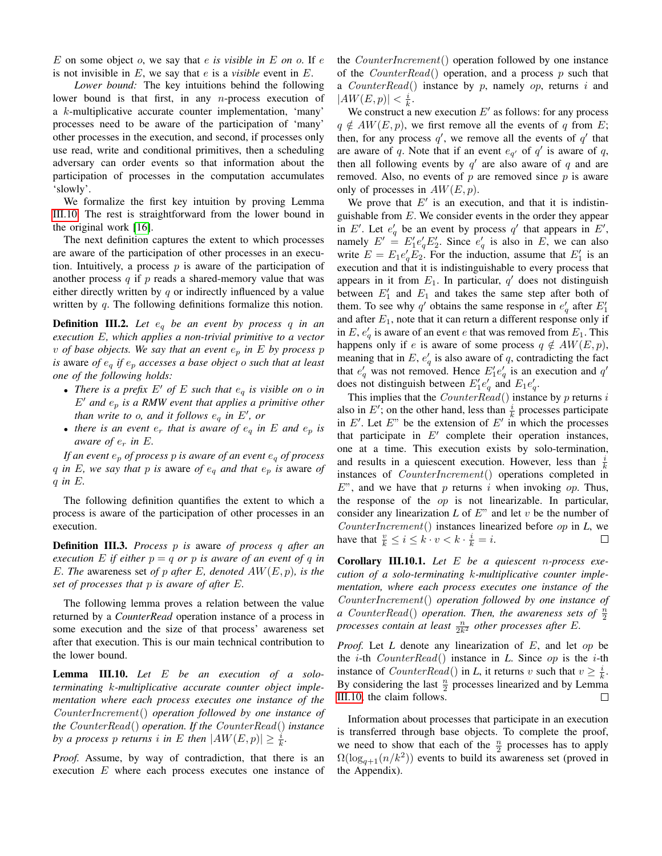E on some object o, we say that e *is visible in* E *on* o. If e is not invisible in E, we say that e is a *visible* event in E.

*Lower bound:* The key intuitions behind the following lower bound is that first, in any  $n$ -process execution of a k-multiplicative accurate counter implementation, 'many' processes need to be aware of the participation of 'many' other processes in the execution, and second, if processes only use read, write and conditional primitives, then a scheduling adversary can order events so that information about the participation of processes in the computation accumulates 'slowly'.

We formalize the first key intuition by proving Lemma [III.10.](#page-8-0) The rest is straightforward from the lower bound in the original work [\[16\]](#page-11-15).

The next definition captures the extent to which processes are aware of the participation of other processes in an execution. Intuitively, a process  $p$  is aware of the participation of another process  $q$  if  $p$  reads a shared-memory value that was either directly written by  $q$  or indirectly influenced by a value written by q. The following definitions formalize this notion.

Definition III.2. *Let* e<sup>q</sup> *be an event by process* q *in an execution* E*, which applies a non-trivial primitive to a vector*  $v$  *of base objects. We say that an event*  $e_p$  *in*  $E$  *by process*  $p$ *is* aware *of* e<sup>q</sup> *if* e<sup>p</sup> *accesses a base object* o *such that at least one of the following holds:*

- *There is a prefix*  $E'$  *of*  $E$  *such that*  $e_q$  *is visible on o in*  $E'$  and  $e_p$  *is a RMW event that applies a primitive other than write to o, and it follows*  $e_q$  *in*  $E'$ *, or*
- *there is an event*  $e_r$  *that is aware of*  $e_q$  *in*  $E$  *and*  $e_p$  *is aware of*  $e_r$  *in*  $E$ *.*

*If an event* e<sup>p</sup> *of process* p *is aware of an event* e<sup>q</sup> *of process* q in E, we say that p is aware of  $e_q$  and that  $e_p$  is aware of q *in* E*.*

The following definition quantifies the extent to which a process is aware of the participation of other processes in an execution.

Definition III.3. *Process* p *is* aware *of process* q *after an execution* E *if either*  $p = q$  *or*  $p$  *is aware of an event of*  $q$  *in* E*. The* awareness set *of* p *after* E*, denoted* AW(E, p)*, is the set of processes that* p *is aware of after* E*.*

The following lemma proves a relation between the value returned by a *CounterRead* operation instance of a process in some execution and the size of that process' awareness set after that execution. This is our main technical contribution to the lower bound.

<span id="page-8-0"></span>Lemma III.10. *Let* E *be an execution of a soloterminating* k*-multiplicative accurate counter object implementation where each process executes one instance of the* CounterIncrement() *operation followed by one instance of the* CounterRead() *operation. If the* CounterRead() *instance* by a process p returns i in E then  $|AW(E,p)| \geq \frac{i}{k}$ .

*Proof.* Assume, by way of contradiction, that there is an execution E where each process executes one instance of the CounterIncrement() operation followed by one instance of the *CounterRead*() operation, and a process p such that a  $CounterRead()$  instance by p, namely op, returns i and  $|AW(E,p)| < \frac{i}{k}.$ 

We construct a new execution  $E'$  as follows: for any process  $q \notin AW(E, p)$ , we first remove all the events of q from E; then, for any process  $q'$ , we remove all the events of  $q'$  that are aware of q. Note that if an event  $e_{q'}$  of  $q'$  is aware of q, then all following events by  $q'$  are also aware of q and are removed. Also, no events of  $p$  are removed since  $p$  is aware only of processes in  $AW(E, p)$ .

We prove that  $E'$  is an execution, and that it is indistinguishable from  $E$ . We consider events in the order they appear in E'. Let  $e'_q$  be an event by process  $q'$  that appears in E', namely  $E' = E'_1 e'_q E'_2$ . Since  $e'_q$  is also in E, we can also write  $E = E_1 e'_q E_2$ . For the induction, assume that  $E'_1$  is an execution and that it is indistinguishable to every process that appears in it from  $E_1$ . In particular,  $q'$  does not distinguish between  $E'_1$  and  $E_1$  and takes the same step after both of them. To see why q' obtains the same response in  $e'_{q}$  after  $E'_{1}$ and after  $E_1$ , note that it can return a different response only if in E,  $e'_{q}$  is aware of an event e that was removed from  $E_1$ . This happens only if e is aware of some process  $q \notin AW(E, p)$ , meaning that in E,  $e'_{q}$  is also aware of q, contradicting the fact that  $e'_q$  was not removed. Hence  $E'_1e'_q$  is an execution and  $q'$ does not distinguish between  $E'_1e'_q$  and  $E_1e'_q$ .

This implies that the  $CounterRead()$  instance by  $p$  returns  $i$ also in E'; on the other hand, less than  $\frac{i}{k}$  processes participate in  $E'$ . Let  $E''$  be the extension of  $E'$  in which the processes that participate in  $E'$  complete their operation instances, one at a time. This execution exists by solo-termination, and results in a quiescent execution. However, less than  $\frac{i}{k}$ instances of *CounterIncrement*() operations completed in  $E$ ", and we have that p returns i when invoking op. Thus, the response of the op is not linearizable. In particular, consider any linearization  $L$  of  $E^{\prime\prime}$  and let  $v$  be the number of CounterIncrement() instances linearized before op in *L*, we have that  $\frac{v}{k} \leq i \leq k \cdot v < k \cdot \frac{i}{k} = i$ .

Corollary III.10.1. *Let* E *be a quiescent* n*-process execution of a solo-terminating* k*-multiplicative counter implementation, where each process executes one instance of the* CounterIncrement() *operation followed by one instance of a* CounterRead() operation. Then, the awareness sets of  $\frac{n}{2}$ *processes contain at least*  $\frac{n}{2k^2}$  *other processes after* E.

*Proof.* Let *L* denote any linearization of E, and let op be the i-th CounterRead() instance in *L*. Since op is the i-th instance of *CounterRead*() in *L*, it returns v such that  $v \geq \frac{i}{k}$ . By considering the last  $\frac{n}{2}$  processes linearized and by Lemma [III.10,](#page-8-0) the claim follows. Ш

Information about processes that participate in an execution is transferred through base objects. To complete the proof, we need to show that each of the  $\frac{n}{2}$  processes has to apply  $\Omega(\log_{q+1}(n/k^2))$  events to build its awareness set (proved in the Appendix).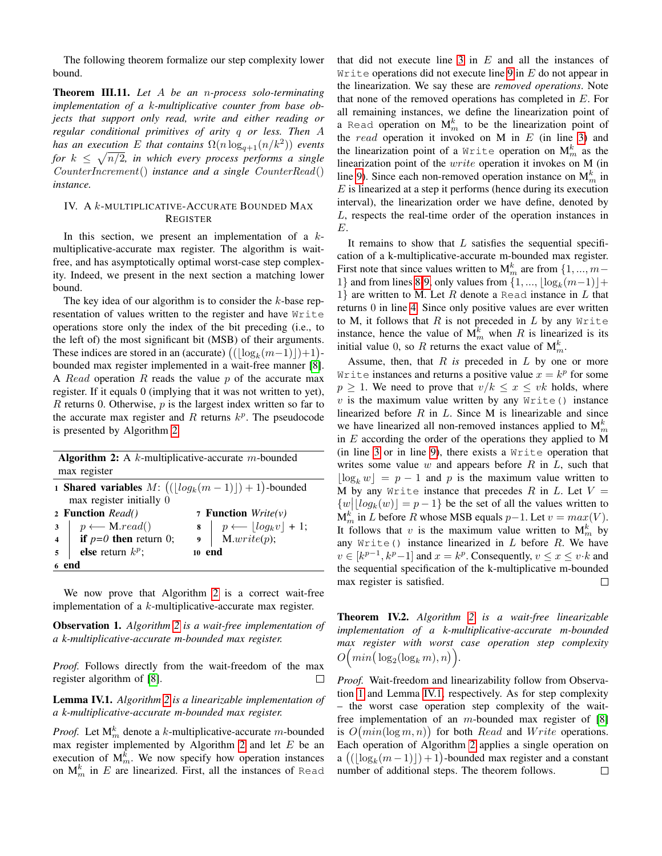The following theorem formalize our step complexity lower bound.

Theorem III.11. *Let* A *be an* n*-process solo-terminating implementation of a* k*-multiplicative counter from base objects that support only read, write and either reading or regular conditional primitives of arity* q *or less. Then* A *has an execution* E that contains  $\Omega(n \log_{q+1}(n/k^2))$  events for  $k \leq \sqrt{n/2}$ , in which every process performs a single CounterIncrement() *instance and a single* CounterRead() *instance.*

# IV. A k-MULTIPLICATIVE-ACCURATE BOUNDED MAX REGISTER

In this section, we present an implementation of a  $k$ multiplicative-accurate max register. The algorithm is waitfree, and has asymptotically optimal worst-case step complexity. Indeed, we present in the next section a matching lower bound.

The key idea of our algorithm is to consider the  $k$ -base representation of values written to the register and have Write operations store only the index of the bit preceding (i.e., to the left of) the most significant bit (MSB) of their arguments. These indices are stored in an (accurate)  $((\lfloor \log_k(m-1) \rfloor) + 1)$ bounded max register implemented in a wait-free manner [\[8\]](#page-11-7). A Read operation R reads the value  $p$  of the accurate max register. If it equals 0 (implying that it was not written to yet),  $R$  returns 0. Otherwise,  $p$  is the largest index written so far to the accurate max register and  $R$  returns  $k^p$ . The pseudocode is presented by Algorithm [2.](#page-9-0)

Algorithm 2: A  $k$ -multiplicative-accurate m-bounded max register

<span id="page-9-4"></span><span id="page-9-1"></span>

|       | 1 <b>Shared variables</b> $M: ((\lfloor log_k(m-1) \rfloor) + 1)$ -bounded                                                                                                                                                                                                                 |  |                                                                |
|-------|--------------------------------------------------------------------------------------------------------------------------------------------------------------------------------------------------------------------------------------------------------------------------------------------|--|----------------------------------------------------------------|
|       | max register initially 0                                                                                                                                                                                                                                                                   |  |                                                                |
|       | 2 Function Read()                                                                                                                                                                                                                                                                          |  | 7 <b>Function</b> <i>Write(v)</i>                              |
|       |                                                                                                                                                                                                                                                                                            |  | 8 $p \leftarrow \lfloor log_k v \rfloor + 1;$<br>9 M.write(p); |
|       |                                                                                                                                                                                                                                                                                            |  |                                                                |
|       | 3<br>$\begin{array}{c}\n\mathbf{3} \\ \mathbf{4} \\ \mathbf{5}\n\end{array}$ $\begin{array}{c}\n\mathbf{3} \\ \mathbf{4} \\ \mathbf{7} \\ \mathbf{8}\n\end{array}$ $\mathbf{r} \leftarrow \mathbf{M}.read()$ $\mathbf{r} \leftarrow \mathbf{M}.read()$ $\mathbf{r} \leftarrow \mathbf{M}.$ |  | 10 end                                                         |
| 6 end |                                                                                                                                                                                                                                                                                            |  |                                                                |

<span id="page-9-0"></span>We now prove that Algorithm [2](#page-9-0) is a correct wait-free implementation of a k-multiplicative-accurate max register.

<span id="page-9-5"></span>Observation 1. *Algorithm [2](#page-9-0) is a wait-free implementation of a k-multiplicative-accurate m-bounded max register.*

*Proof.* Follows directly from the wait-freedom of the max register algorithm of [\[8\]](#page-11-7).

<span id="page-9-6"></span>Lemma IV.1. *Algorithm [2](#page-9-0) is a linearizable implementation of a k-multiplicative-accurate m-bounded max register.*

*Proof.* Let  $M_m^k$  denote a k-multiplicative-accurate m-bounded max register implemented by Algorithm [2](#page-9-0) and let  $E$  be an execution of  $M_m^{\overline{k}}$ . We now specify how operation instances on  $M_m^k$  in E are linearized. First, all the instances of Read that did not execute line  $3$  in  $E$  and all the instances of Write operations did not execute line [9](#page-9-2) in  $E$  do not appear in the linearization. We say these are *removed operations*. Note that none of the removed operations has completed in E. For all remaining instances, we define the linearization point of a Read operation on  $M_m^k$  to be the linearization point of the read operation it invoked on M in  $E$  (in line [3\)](#page-9-1) and the linearization point of a Write operation on  $\mathbf{M}^k_m$  as the linearization point of the write operation it invokes on M (in line [9\)](#page-9-2). Since each non-removed operation instance on  $M_m^k$  in  $E$  is linearized at a step it performs (hence during its execution interval), the linearization order we have define, denoted by L, respects the real-time order of the operation instances in E.

It remains to show that  $L$  satisfies the sequential specification of a k-multiplicative-accurate m-bounded max register. First note that since values written to  $M_m^k$  are from  $\{1, ..., m-\}$ 1} and from lines [8](#page-9-3)[-9,](#page-9-2) only values from  $\{1, ..., \lfloor \log_k(m-1) \rfloor + \}$ 1} are written to M. Let R denote a Read instance in  $L$  that returns 0 in line [4.](#page-9-4) Since only positive values are ever written to M, it follows that  $R$  is not preceded in  $L$  by any Write instance, hence the value of  $M_m^k$  when R is linearized is its initial value 0, so R returns the exact value of  $M_m^k$ .

Assume, then, that  $R$  *is* preceded in  $L$  by one or more Write instances and returns a positive value  $x = k^p$  for some  $p \geq 1$ . We need to prove that  $v/k \leq x \leq vk$  holds, where  $v$  is the maximum value written by any Write() instance linearized before  $R$  in  $L$ . Since M is linearizable and since we have linearized all non-removed instances applied to  $M_m^k$ in  $E$  according the order of the operations they applied to M (in line [3](#page-9-1) or in line [9\)](#page-9-2), there exists a Write operation that writes some value  $w$  and appears before  $R$  in  $L$ , such that  $\log_k w = p - 1$  and p is the maximum value written to M by any Write instance that precedes R in L. Let  $V =$  $\{w | [log_k(w)] = p - 1\}$  be the set of all the values written to  $M_m^{k'}$  in L before R whose MSB equals  $p-1$ . Let  $v = max(V)$ . It follows that v is the maximum value written to  $M_m^k$  by any  $Write()$  instance linearized in  $L$  before  $R$ . We have  $v \in [k^{p-1}, k^p-1]$  and  $x = k^p$ . Consequently,  $v \le x \le v \cdot k$  and the sequential specification of the k-multiplicative m-bounded max register is satisfied.  $\Box$ 

<span id="page-9-3"></span><span id="page-9-2"></span>Theorem IV.2. *Algorithm [2](#page-9-0) is a wait-free linearizable implementation of a k-multiplicative-accurate m-bounded max register with worst case operation step complexity*  $O\left(min\left(\log_2(\log_k m), n\right)\right)$ .

*Proof.* Wait-freedom and linearizability follow from Observation [1](#page-9-5) and Lemma [IV.1,](#page-9-6) respectively. As for step complexity – the worst case operation step complexity of the waitfree implementation of an  $m$ -bounded max register of [\[8\]](#page-11-7) is  $O(min(\log m, n))$  for both Read and Write operations. Each operation of Algorithm [2](#page-9-0) applies a single operation on  $a((\lfloor \log_k(m-1)\rfloor) + 1)$ -bounded max register and a constant number of additional steps. The theorem follows. $\Box$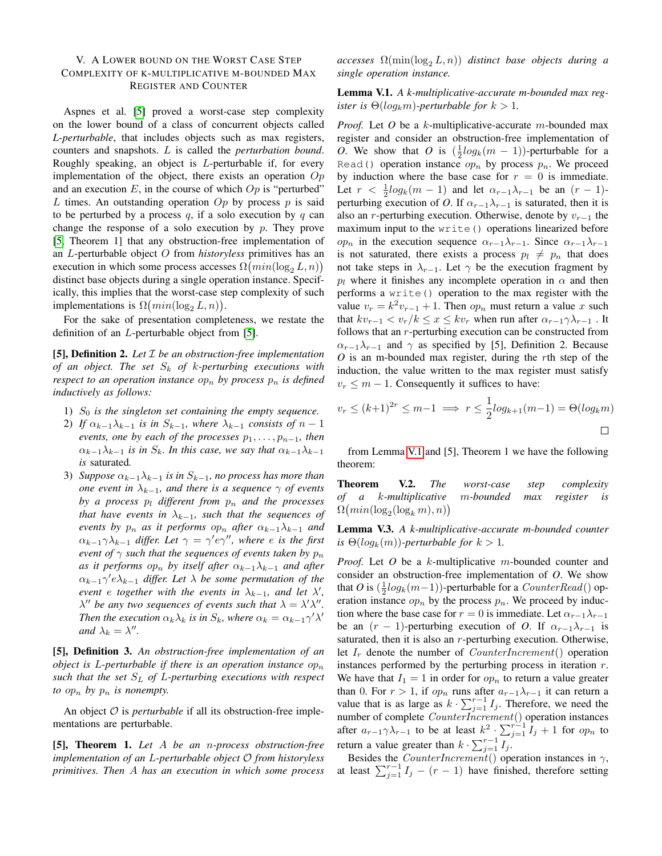# V. A LOWER BOUND ON THE WORST CASE STEP COMPLEXITY OF K-MULTIPLICATIVE M-BOUNDED MAX REGISTER AND COUNTER

Aspnes et al. [\[5\]](#page-11-4) proved a worst-case step complexity on the lower bound of a class of concurrent objects called *L-perturbable*, that includes objects such as max registers, counters and snapshots. L is called the *perturbation bound*. Roughly speaking, an object is  $L$ -perturbable if, for every implementation of the object, there exists an operation  $Op$ and an execution  $E$ , in the course of which  $Op$  is "perturbed" L times. An outstanding operation  $Op$  by process p is said to be perturbed by a process  $q$ , if a solo execution by  $q$  can change the response of a solo execution by  $p$ . They prove [\[5,](#page-11-4) Theorem 1] that any obstruction-free implementation of an L-perturbable object O from *historyless* primitives has an execution in which some process accesses  $\Omega\bigl(min(\log_2 L, n)\bigr)$ distinct base objects during a single operation instance. Specifically, this implies that the worst-case step complexity of such implementations is  $\Omega\left(min(\log_2 L, n)\right)$ .

For the sake of presentation completeness, we restate the definition of an L-perturbable object from [\[5\]](#page-11-4).

[5], Definition 2. *Let* I *be an obstruction-free implementation of an object. The set* S<sup>k</sup> *of* k*-perturbing executions with respect to an operation instance*  $op_n$  *by process*  $p_n$  *is defined inductively as follows:*

- 1)  $S_0$  *is the singleton set containing the empty sequence.*
- 2) *If*  $\alpha_{k-1}\lambda_{k-1}$  *is in*  $S_{k-1}$ *, where*  $\lambda_{k-1}$  *consists of*  $n-1$ *events, one by each of the processes*  $p_1, \ldots, p_{n-1}$ *, then*  $\alpha_{k-1}\lambda_{k-1}$  *is in*  $S_k$ *. In this case, we say that*  $\alpha_{k-1}\lambda_{k-1}$ *is* saturated*.*
- 3) *Suppose*  $\alpha_{k-1}\lambda_{k-1}$  *is in*  $S_{k-1}$ *, no process has more than one event in*  $\lambda_{k-1}$ *, and there is a sequence*  $\gamma$  *of events by a process*  $p_l$  *different from*  $p_n$  *and the processes that have events in*  $\lambda_{k-1}$ *, such that the sequences of events by*  $p_n$  *as it performs op<sub>n</sub> after*  $\alpha_{k-1}\lambda_{k-1}$  *and*  $\alpha_{k-1}\gamma\lambda_{k-1}$  differ. Let  $\gamma = \gamma' e \gamma''$ , where *e* is the first *event of*  $\gamma$  *such that the sequences of events taken by*  $p_n$ *as it performs op<sub>n</sub> by itself after*  $\alpha_{k-1}\lambda_{k-1}$  *and after*  $\alpha_{k-1}\gamma' e \lambda_{k-1}$  differ. Let  $\lambda$  be some permutation of the *event e together with the events in*  $\lambda_{k-1}$ *, and let*  $\lambda'$ *,*  $\lambda''$  be any two sequences of events such that  $\lambda = \lambda' \lambda''$ . *Then the execution*  $\alpha_k \lambda_k$  *is in*  $S_k$ *, where*  $\alpha_k = \alpha_{k-1} \gamma' \lambda'$ *and*  $\lambda_k = \lambda''$ .

[5], Definition 3. *An obstruction-free implementation of an object is L-perturbable if there is an operation instance*  $op_n$ *such that the set* S<sup>L</sup> *of* L*-perturbing executions with respect to*  $op_n$  *by*  $p_n$  *is nonempty.* 

An object  $O$  is *perturbable* if all its obstruction-free implementations are perturbable.

[5], Theorem 1. *Let* A *be an* n*-process obstruction-free implementation of an* L*-perturbable object* O *from historyless primitives. Then* A *has an execution in which some process*  $accesses \Omega(\min(\log_2 L, n))$  *distinct base objects during a single operation instance.*

<span id="page-10-0"></span>Lemma V.1. *A k-multiplicative-accurate m-bounded max register is*  $\Theta(log_k m)$ *-perturbable for*  $k > 1$ *.* 

*Proof.* Let *O* be a k-multiplicative-accurate m-bounded max register and consider an obstruction-free implementation of *O*. We show that *O* is  $(\frac{1}{2}log_k(m-1))$ -perturbable for a Read() operation instance  $op_n$  by process  $p_n$ . We proceed by induction where the base case for  $r = 0$  is immediate. Let  $r < \frac{1}{2} log_k(m-1)$  and let  $\alpha_{r-1} \lambda_{r-1}$  be an  $(r-1)$ perturbing execution of *O*. If  $\alpha_{r-1}\lambda_{r-1}$  is saturated, then it is also an r-perturbing execution. Otherwise, denote by  $v_{r-1}$  the maximum input to the write() operations linearized before  $op_n$  in the execution sequence  $\alpha_{r-1}\lambda_{r-1}$ . Since  $\alpha_{r-1}\lambda_{r-1}$ is not saturated, there exists a process  $p_l \neq p_n$  that does not take steps in  $\lambda_{r-1}$ . Let  $\gamma$  be the execution fragment by  $p_l$  where it finishes any incomplete operation in  $\alpha$  and then performs a write() operation to the max register with the value  $v_r = k^2 v_{r-1} + 1$ . Then  $op_n$  must return a value x such that  $kv_{r-1} < v_r/k \leq x \leq kv_r$  when run after  $\alpha_{r-1}\gamma \lambda_{r-1}$ . It follows that an  $r$ -perturbing execution can be constructed from  $\alpha_{r-1}\lambda_{r-1}$  and  $\gamma$  as specified by [5], Definition 2. Because *O* is an m-bounded max register, during the rth step of the induction, the value written to the max register must satisfy  $v_r \leq m - 1$ . Consequently it suffices to have:

$$
v_r \le (k+1)^{2r} \le m-1 \implies r \le \frac{1}{2} \log_{k+1}(m-1) = \Theta(\log_k m)
$$

from Lemma [V.1](#page-10-0) and [5], Theorem 1 we have the following theorem:

Theorem V.2. *The worst-case step complexity of a* k*-multiplicative* m*-bounded max register is*  $\Omega\big(min(\log_2(\log_k m),n)\big)$ 

<span id="page-10-1"></span>Lemma V.3. *A k-multiplicative-accurate m-bounded counter is*  $\Theta(log_k(m))$ *-perturbable for*  $k > 1$ *.* 

*Proof.* Let *O* be a k-multiplicative m-bounded counter and consider an obstruction-free implementation of *O*. We show that *O* is  $(\frac{1}{2}log_k(m-1))$ -perturbable for a *CounterRead*() operation instance  $op_n$  by the process  $p_n$ . We proceed by induction where the base case for  $r = 0$  is immediate. Let  $\alpha_{r-1}\lambda_{r-1}$ be an  $(r - 1)$ -perturbing execution of *O*. If  $\alpha_{r-1}\lambda_{r-1}$  is saturated, then it is also an  $r$ -perturbing execution. Otherwise, let  $I_r$  denote the number of *CounterIncrement*() operation instances performed by the perturbing process in iteration  $r$ . We have that  $I_1 = 1$  in order for  $op_n$  to return a value greater than 0. For  $r > 1$ , if  $op<sub>n</sub>$  runs after  $a_{r-1}\lambda_{r-1}$  it can return a value that is as large as  $k \cdot \sum_{j=1}^{r-1} I_j$ . Therefore, we need the number of complete  $CounterIncrement()$  operation instances after  $a_{r-1}\gamma\lambda_{r-1}$  to be at least  $k^2 \cdot \sum_{j=1}^{r-1} \tilde{I}_j + 1$  for  $op_n$  to return a value greater than  $k \cdot \sum_{j=1}^{r-1} I_j$ .

Besides the *CounterIncrement*() operation instances in  $\gamma$ , at least  $\sum_{j=1}^{r-1} I_j - (r-1)$  have finished, therefore setting